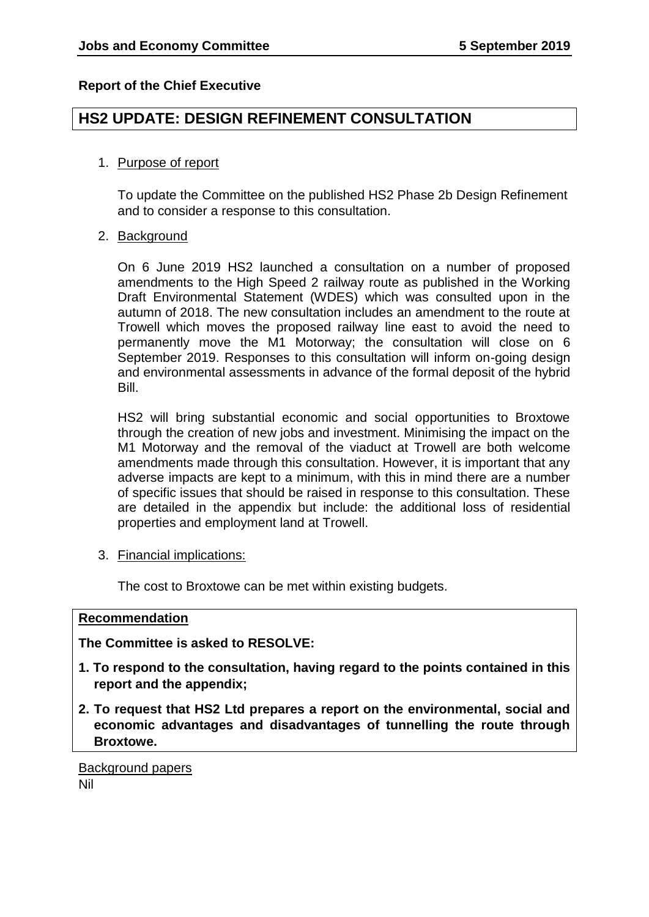## **Report of the Chief Executive**

# **HS2 UPDATE: DESIGN REFINEMENT CONSULTATION**

## 1. Purpose of report

To update the Committee on the published HS2 Phase 2b Design Refinement and to consider a response to this consultation.

## 2. Background

On 6 June 2019 HS2 launched a consultation on a number of proposed amendments to the High Speed 2 railway route as published in the Working Draft Environmental Statement (WDES) which was consulted upon in the autumn of 2018. The new consultation includes an amendment to the route at Trowell which moves the proposed railway line east to avoid the need to permanently move the M1 Motorway; the consultation will close on 6 September 2019. Responses to this consultation will inform on-going design and environmental assessments in advance of the formal deposit of the hybrid Bill.

HS2 will bring substantial economic and social opportunities to Broxtowe through the creation of new jobs and investment. Minimising the impact on the M1 Motorway and the removal of the viaduct at Trowell are both welcome amendments made through this consultation. However, it is important that any adverse impacts are kept to a minimum, with this in mind there are a number of specific issues that should be raised in response to this consultation. These are detailed in the appendix but include: the additional loss of residential properties and employment land at Trowell.

3. Financial implications:

The cost to Broxtowe can be met within existing budgets.

## **Recommendation**

## **The Committee is asked to RESOLVE:**

- **1. To respond to the consultation, having regard to the points contained in this report and the appendix;**
- **2. To request that HS2 Ltd prepares a report on the environmental, social and economic advantages and disadvantages of tunnelling the route through Broxtowe.**

Background papers Nil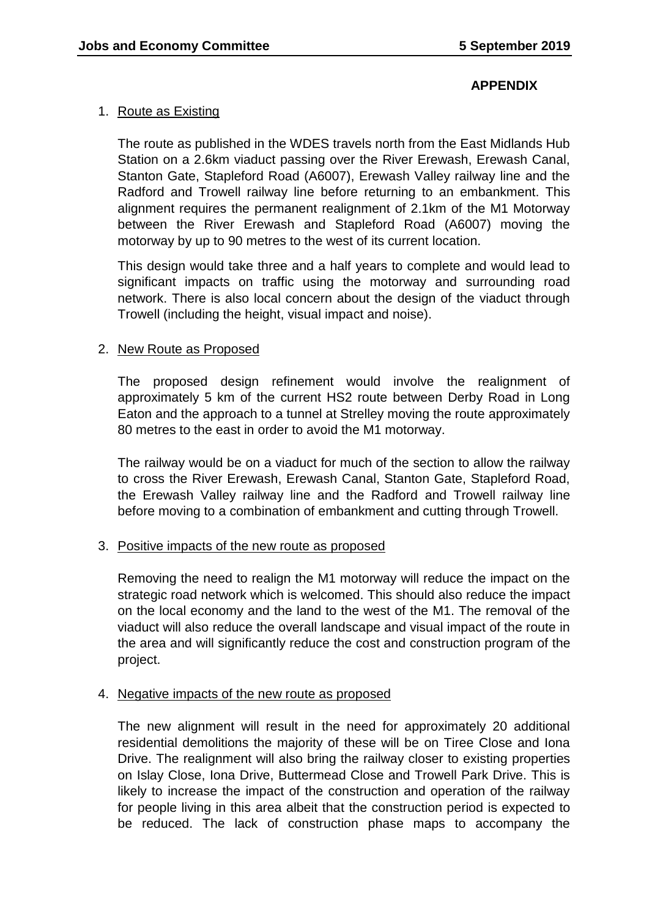## **APPENDIX**

## 1. Route as Existing

The route as published in the WDES travels north from the East Midlands Hub Station on a 2.6km viaduct passing over the River Erewash, Erewash Canal, Stanton Gate, Stapleford Road (A6007), Erewash Valley railway line and the Radford and Trowell railway line before returning to an embankment. This alignment requires the permanent realignment of 2.1km of the M1 Motorway between the River Erewash and Stapleford Road (A6007) moving the motorway by up to 90 metres to the west of its current location.

This design would take three and a half years to complete and would lead to significant impacts on traffic using the motorway and surrounding road network. There is also local concern about the design of the viaduct through Trowell (including the height, visual impact and noise).

## 2. New Route as Proposed

The proposed design refinement would involve the realignment of approximately 5 km of the current HS2 route between Derby Road in Long Eaton and the approach to a tunnel at Strelley moving the route approximately 80 metres to the east in order to avoid the M1 motorway.

The railway would be on a viaduct for much of the section to allow the railway to cross the River Erewash, Erewash Canal, Stanton Gate, Stapleford Road, the Erewash Valley railway line and the Radford and Trowell railway line before moving to a combination of embankment and cutting through Trowell.

## 3. Positive impacts of the new route as proposed

Removing the need to realign the M1 motorway will reduce the impact on the strategic road network which is welcomed. This should also reduce the impact on the local economy and the land to the west of the M1. The removal of the viaduct will also reduce the overall landscape and visual impact of the route in the area and will significantly reduce the cost and construction program of the project.

## 4. Negative impacts of the new route as proposed

The new alignment will result in the need for approximately 20 additional residential demolitions the majority of these will be on Tiree Close and Iona Drive. The realignment will also bring the railway closer to existing properties on Islay Close, Iona Drive, Buttermead Close and Trowell Park Drive. This is likely to increase the impact of the construction and operation of the railway for people living in this area albeit that the construction period is expected to be reduced. The lack of construction phase maps to accompany the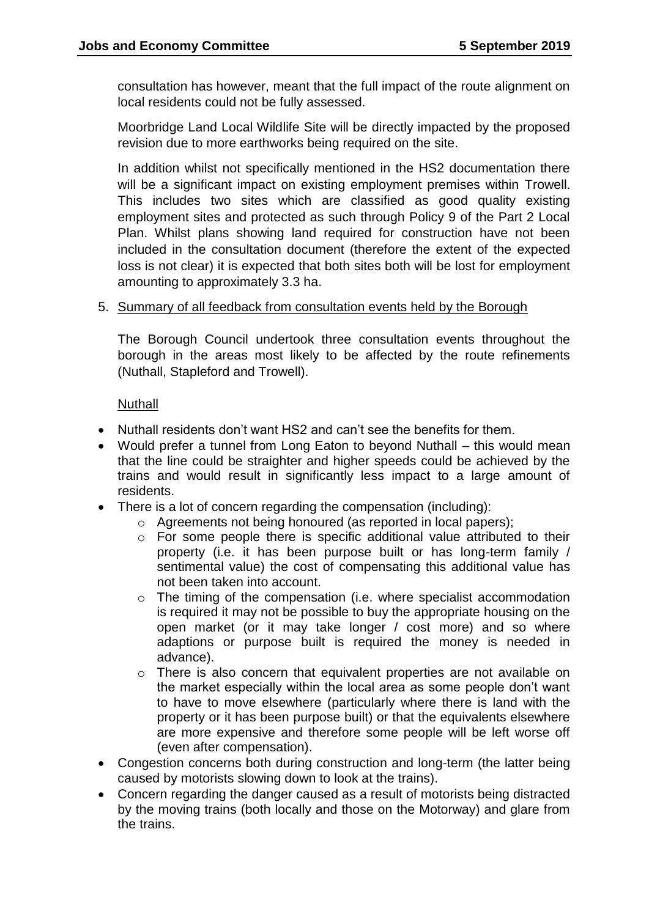consultation has however, meant that the full impact of the route alignment on local residents could not be fully assessed.

Moorbridge Land Local Wildlife Site will be directly impacted by the proposed revision due to more earthworks being required on the site.

In addition whilst not specifically mentioned in the HS2 documentation there will be a significant impact on existing employment premises within Trowell. This includes two sites which are classified as good quality existing employment sites and protected as such through Policy 9 of the Part 2 Local Plan. Whilst plans showing land required for construction have not been included in the consultation document (therefore the extent of the expected loss is not clear) it is expected that both sites both will be lost for employment amounting to approximately 3.3 ha.

#### 5. Summary of all feedback from consultation events held by the Borough

The Borough Council undertook three consultation events throughout the borough in the areas most likely to be affected by the route refinements (Nuthall, Stapleford and Trowell).

#### **Nuthall**

- Nuthall residents don't want HS2 and can't see the benefits for them.
- Would prefer a tunnel from Long Eaton to beyond Nuthall this would mean that the line could be straighter and higher speeds could be achieved by the trains and would result in significantly less impact to a large amount of residents.
- There is a lot of concern regarding the compensation (including):
	- o Agreements not being honoured (as reported in local papers);
		- o For some people there is specific additional value attributed to their property (i.e. it has been purpose built or has long-term family / sentimental value) the cost of compensating this additional value has not been taken into account.
	- o The timing of the compensation (i.e. where specialist accommodation is required it may not be possible to buy the appropriate housing on the open market (or it may take longer / cost more) and so where adaptions or purpose built is required the money is needed in advance).
	- o There is also concern that equivalent properties are not available on the market especially within the local area as some people don't want to have to move elsewhere (particularly where there is land with the property or it has been purpose built) or that the equivalents elsewhere are more expensive and therefore some people will be left worse off (even after compensation).
- Congestion concerns both during construction and long-term (the latter being caused by motorists slowing down to look at the trains).
- Concern regarding the danger caused as a result of motorists being distracted by the moving trains (both locally and those on the Motorway) and glare from the trains.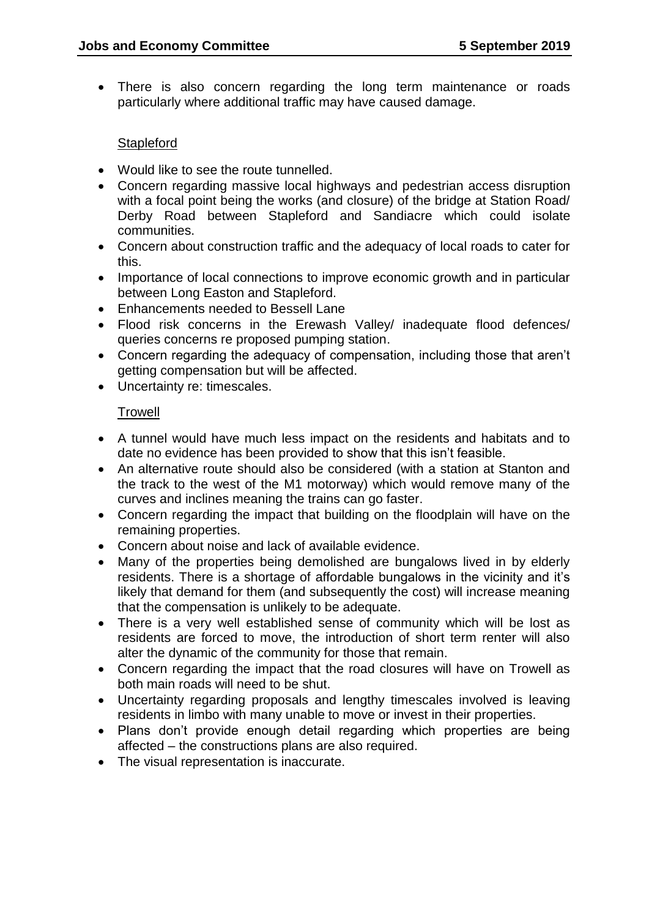There is also concern regarding the long term maintenance or roads particularly where additional traffic may have caused damage.

## **Stapleford**

- Would like to see the route tunnelled.
- Concern regarding massive local highways and pedestrian access disruption with a focal point being the works (and closure) of the bridge at Station Road/ Derby Road between Stapleford and Sandiacre which could isolate communities.
- Concern about construction traffic and the adequacy of local roads to cater for this.
- Importance of local connections to improve economic growth and in particular between Long Easton and Stapleford.
- Enhancements needed to Bessell Lane
- Flood risk concerns in the Erewash Valley/ inadequate flood defences/ queries concerns re proposed pumping station.
- Concern regarding the adequacy of compensation, including those that aren't getting compensation but will be affected.
- Uncertainty re: timescales.

## Trowell

- A tunnel would have much less impact on the residents and habitats and to date no evidence has been provided to show that this isn't feasible.
- An alternative route should also be considered (with a station at Stanton and the track to the west of the M1 motorway) which would remove many of the curves and inclines meaning the trains can go faster.
- Concern regarding the impact that building on the floodplain will have on the remaining properties.
- Concern about noise and lack of available evidence.
- Many of the properties being demolished are bungalows lived in by elderly residents. There is a shortage of affordable bungalows in the vicinity and it's likely that demand for them (and subsequently the cost) will increase meaning that the compensation is unlikely to be adequate.
- There is a very well established sense of community which will be lost as residents are forced to move, the introduction of short term renter will also alter the dynamic of the community for those that remain.
- Concern regarding the impact that the road closures will have on Trowell as both main roads will need to be shut.
- Uncertainty regarding proposals and lengthy timescales involved is leaving residents in limbo with many unable to move or invest in their properties.
- Plans don't provide enough detail regarding which properties are being affected – the constructions plans are also required.
- The visual representation is inaccurate.